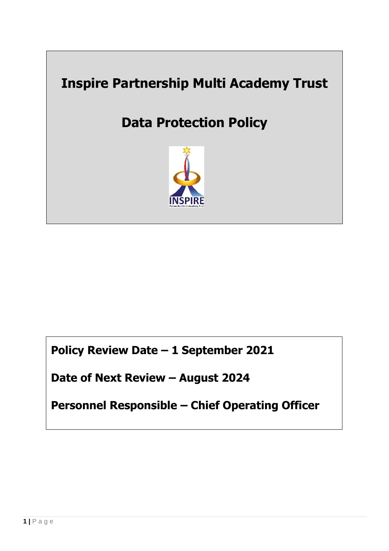

**Policy Review Date – 1 September 2021**

**Date of Next Review – August 2024**

**Personnel Responsible – Chief Operating Officer**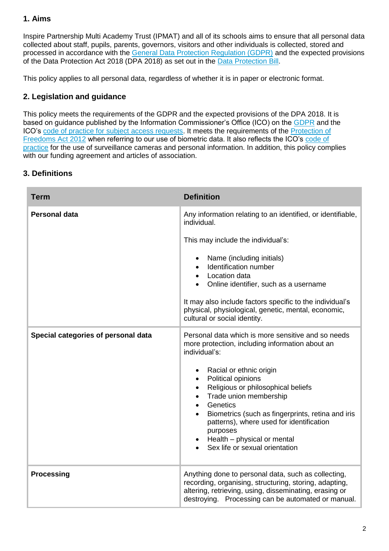# **1. Aims**

Inspire Partnership Multi Academy Trust (IPMAT) and all of its schools aims to ensure that all personal data collected about staff, pupils, parents, governors, visitors and other individuals is collected, stored and processed in accordance with the [General Data Protection Regulation \(GDPR\)](http://data.consilium.europa.eu/doc/document/ST-5419-2016-INIT/en/pdf) and the expected provisions of the Data Protection Act 2018 (DPA 2018) as set out in the [Data Protection Bill.](https://publications.parliament.uk/pa/bills/cbill/2017-2019/0153/18153.pdf)

This policy applies to all personal data, regardless of whether it is in paper or electronic format.

# **2. Legislation and guidance**

This policy meets the requirements of the GDPR and the expected provisions of the DPA 2018. It is based on guidance published by the Information Commissioner's Office (ICO) on the [GDPR](https://ico.org.uk/for-organisations/guide-to-the-general-data-protection-regulation-gdpr/) and the ICO's [code of practice for subject access requests.](https://ico.org.uk/media/for-organisations/documents/2014223/subject-access-code-of-practice.pdf) It meets the requirements of the Protection of [Freedoms Act 2012](https://www.legislation.gov.uk/ukpga/2012/9/part/1/chapter/2) when referring to our use of biometric data. It also reflects the ICO's [code of](https://ico.org.uk/media/for-organisations/documents/1542/cctv-code-of-practice.pdf)  [practice](https://ico.org.uk/media/for-organisations/documents/1542/cctv-code-of-practice.pdf) for the use of surveillance cameras and personal information. In addition, this policy complies with our funding agreement and articles of association.

# **3. Definitions**

| <b>Term</b>                         | <b>Definition</b>                                                                                                                                                                                                                                                                                                                              |
|-------------------------------------|------------------------------------------------------------------------------------------------------------------------------------------------------------------------------------------------------------------------------------------------------------------------------------------------------------------------------------------------|
| <b>Personal data</b>                | Any information relating to an identified, or identifiable,<br>individual.                                                                                                                                                                                                                                                                     |
|                                     | This may include the individual's:                                                                                                                                                                                                                                                                                                             |
|                                     | Name (including initials)<br>$\bullet$<br>Identification number<br>$\bullet$<br>Location data<br>$\bullet$<br>Online identifier, such as a username<br>$\bullet$                                                                                                                                                                               |
|                                     | It may also include factors specific to the individual's<br>physical, physiological, genetic, mental, economic,<br>cultural or social identity.                                                                                                                                                                                                |
| Special categories of personal data | Personal data which is more sensitive and so needs<br>more protection, including information about an<br>individual's:                                                                                                                                                                                                                         |
|                                     | Racial or ethnic origin<br>$\bullet$<br>Political opinions<br>$\bullet$<br>Religious or philosophical beliefs<br>$\bullet$<br>Trade union membership<br>Genetics<br>Biometrics (such as fingerprints, retina and iris<br>patterns), where used for identification<br>purposes<br>Health - physical or mental<br>Sex life or sexual orientation |
| <b>Processing</b>                   | Anything done to personal data, such as collecting,<br>recording, organising, structuring, storing, adapting,<br>altering, retrieving, using, disseminating, erasing or<br>destroying. Processing can be automated or manual.                                                                                                                  |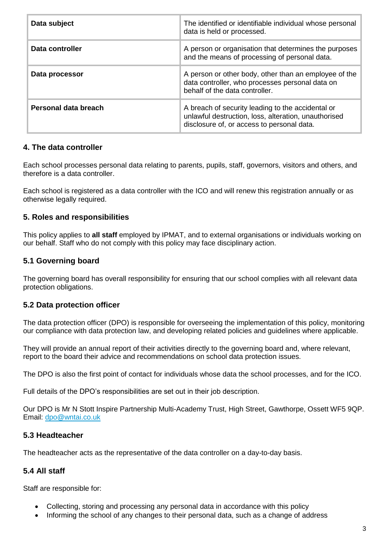| Data subject         | The identified or identifiable individual whose personal<br>data is held or processed.                                                                  |
|----------------------|---------------------------------------------------------------------------------------------------------------------------------------------------------|
| Data controller      | A person or organisation that determines the purposes<br>and the means of processing of personal data.                                                  |
| Data processor       | A person or other body, other than an employee of the<br>data controller, who processes personal data on<br>behalf of the data controller.              |
| Personal data breach | A breach of security leading to the accidental or<br>unlawful destruction, loss, alteration, unauthorised<br>disclosure of, or access to personal data. |

### **4. The data controller**

Each school processes personal data relating to parents, pupils, staff, governors, visitors and others, and therefore is a data controller.

Each school is registered as a data controller with the ICO and will renew this registration annually or as otherwise legally required.

## **5. Roles and responsibilities**

This policy applies to **all staff** employed by IPMAT, and to external organisations or individuals working on our behalf. Staff who do not comply with this policy may face disciplinary action.

## **5.1 Governing board**

The governing board has overall responsibility for ensuring that our school complies with all relevant data protection obligations.

### **5.2 Data protection officer**

The data protection officer (DPO) is responsible for overseeing the implementation of this policy, monitoring our compliance with data protection law, and developing related policies and guidelines where applicable.

They will provide an annual report of their activities directly to the governing board and, where relevant, report to the board their advice and recommendations on school data protection issues.

The DPO is also the first point of contact for individuals whose data the school processes, and for the ICO.

Full details of the DPO's responsibilities are set out in their job description.

Our DPO is Mr N Stott Inspire Partnership Multi-Academy Trust, High Street, Gawthorpe, Ossett WF5 9QP. Email: [dpo@wntai.co.uk](mailto:dpo@wntai.co.uk)

### **5.3 Headteacher**

The headteacher acts as the representative of the data controller on a day-to-day basis.

### **5.4 All staff**

Staff are responsible for:

- Collecting, storing and processing any personal data in accordance with this policy
- Informing the school of any changes to their personal data, such as a change of address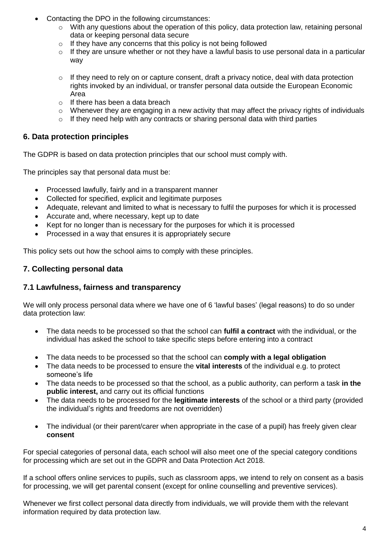- Contacting the DPO in the following circumstances:
	- $\circ$  With any questions about the operation of this policy, data protection law, retaining personal data or keeping personal data secure
	- $\circ$  If they have any concerns that this policy is not being followed
	- o If they are unsure whether or not they have a lawful basis to use personal data in a particular way
	- $\circ$  If they need to rely on or capture consent, draft a privacy notice, deal with data protection rights invoked by an individual, or transfer personal data outside the European Economic Area
	- o If there has been a data breach
	- o Whenever they are engaging in a new activity that may affect the privacy rights of individuals
	- $\circ$  If they need help with any contracts or sharing personal data with third parties

### **6. Data protection principles**

The GDPR is based on data protection principles that our school must comply with.

The principles say that personal data must be:

- Processed lawfully, fairly and in a transparent manner
- Collected for specified, explicit and legitimate purposes
- Adequate, relevant and limited to what is necessary to fulfil the purposes for which it is processed
- Accurate and, where necessary, kept up to date
- Kept for no longer than is necessary for the purposes for which it is processed
- Processed in a way that ensures it is appropriately secure

This policy sets out how the school aims to comply with these principles.

## **7. Collecting personal data**

### **7.1 Lawfulness, fairness and transparency**

We will only process personal data where we have one of 6 'lawful bases' (legal reasons) to do so under data protection law:

- The data needs to be processed so that the school can **fulfil a contract** with the individual, or the individual has asked the school to take specific steps before entering into a contract
- The data needs to be processed so that the school can **comply with a legal obligation**
- The data needs to be processed to ensure the **vital interests** of the individual e.g. to protect someone's life
- The data needs to be processed so that the school, as a public authority, can perform a task **in the public interest,** and carry out its official functions
- The data needs to be processed for the **legitimate interests** of the school or a third party (provided the individual's rights and freedoms are not overridden)
- The individual (or their parent/carer when appropriate in the case of a pupil) has freely given clear **consent**

For special categories of personal data, each school will also meet one of the special category conditions for processing which are set out in the GDPR and Data Protection Act 2018.

If a school offers online services to pupils, such as classroom apps, we intend to rely on consent as a basis for processing, we will get parental consent (except for online counselling and preventive services).

Whenever we first collect personal data directly from individuals, we will provide them with the relevant information required by data protection law.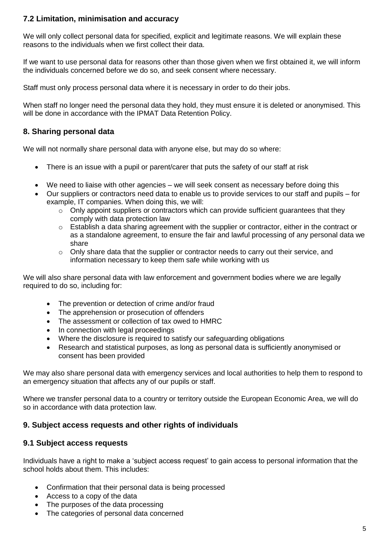# **7.2 Limitation, minimisation and accuracy**

We will only collect personal data for specified, explicit and legitimate reasons. We will explain these reasons to the individuals when we first collect their data.

If we want to use personal data for reasons other than those given when we first obtained it, we will inform the individuals concerned before we do so, and seek consent where necessary.

Staff must only process personal data where it is necessary in order to do their jobs.

When staff no longer need the personal data they hold, they must ensure it is deleted or anonymised. This will be done in accordance with the IPMAT Data Retention Policy.

# **8. Sharing personal data**

We will not normally share personal data with anyone else, but may do so where:

- There is an issue with a pupil or parent/carer that puts the safety of our staff at risk
- We need to liaise with other agencies we will seek consent as necessary before doing this
- Our suppliers or contractors need data to enable us to provide services to our staff and pupils for example, IT companies. When doing this, we will:
	- o Only appoint suppliers or contractors which can provide sufficient guarantees that they comply with data protection law
	- o Establish a data sharing agreement with the supplier or contractor, either in the contract or as a standalone agreement, to ensure the fair and lawful processing of any personal data we share
	- $\circ$  Only share data that the supplier or contractor needs to carry out their service, and information necessary to keep them safe while working with us

We will also share personal data with law enforcement and government bodies where we are legally required to do so, including for:

- The prevention or detection of crime and/or fraud
- The apprehension or prosecution of offenders
- The assessment or collection of tax owed to HMRC
- In connection with legal proceedings
- Where the disclosure is required to satisfy our safeguarding obligations
- Research and statistical purposes, as long as personal data is sufficiently anonymised or consent has been provided

We may also share personal data with emergency services and local authorities to help them to respond to an emergency situation that affects any of our pupils or staff.

Where we transfer personal data to a country or territory outside the European Economic Area, we will do so in accordance with data protection law.

### **9. Subject access requests and other rights of individuals**

#### **9.1 Subject access requests**

Individuals have a right to make a 'subject access request' to gain access to personal information that the school holds about them. This includes:

- Confirmation that their personal data is being processed
- Access to a copy of the data
- The purposes of the data processing
- The categories of personal data concerned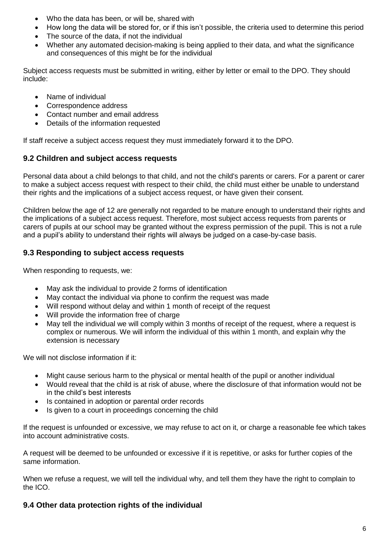- Who the data has been, or will be, shared with
- How long the data will be stored for, or if this isn't possible, the criteria used to determine this period
- The source of the data, if not the individual
- Whether any automated decision-making is being applied to their data, and what the significance and consequences of this might be for the individual

Subject access requests must be submitted in writing, either by letter or email to the DPO. They should include:

- Name of individual
- Correspondence address
- Contact number and email address
- Details of the information requested

If staff receive a subject access request they must immediately forward it to the DPO.

## **9.2 Children and subject access requests**

Personal data about a child belongs to that child, and not the child's parents or carers. For a parent or carer to make a subject access request with respect to their child, the child must either be unable to understand their rights and the implications of a subject access request, or have given their consent.

Children below the age of 12 are generally not regarded to be mature enough to understand their rights and the implications of a subject access request. Therefore, most subject access requests from parents or carers of pupils at our school may be granted without the express permission of the pupil. This is not a rule and a pupil's ability to understand their rights will always be judged on a case-by-case basis.

## **9.3 Responding to subject access requests**

When responding to requests, we:

- May ask the individual to provide 2 forms of identification
- May contact the individual via phone to confirm the request was made
- Will respond without delay and within 1 month of receipt of the request
- Will provide the information free of charge
- May tell the individual we will comply within 3 months of receipt of the request, where a request is complex or numerous. We will inform the individual of this within 1 month, and explain why the extension is necessary

We will not disclose information if it:

- Might cause serious harm to the physical or mental health of the pupil or another individual
- Would reveal that the child is at risk of abuse, where the disclosure of that information would not be in the child's best interests
- Is contained in adoption or parental order records
- Is given to a court in proceedings concerning the child

If the request is unfounded or excessive, we may refuse to act on it, or charge a reasonable fee which takes into account administrative costs.

A request will be deemed to be unfounded or excessive if it is repetitive, or asks for further copies of the same information.

When we refuse a request, we will tell the individual why, and tell them they have the right to complain to the ICO.

# **9.4 Other data protection rights of the individual**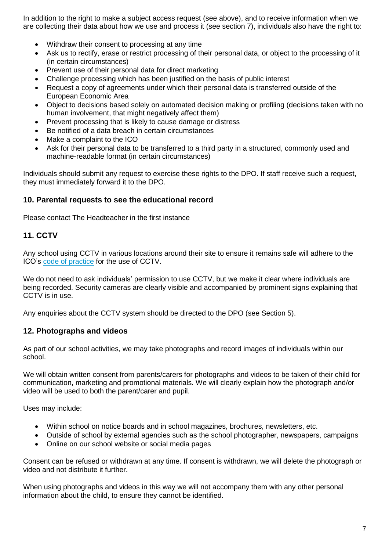In addition to the right to make a subject access request (see above), and to receive information when we are collecting their data about how we use and process it (see section 7), individuals also have the right to:

- Withdraw their consent to processing at any time
- Ask us to rectify, erase or restrict processing of their personal data, or object to the processing of it (in certain circumstances)
- Prevent use of their personal data for direct marketing
- Challenge processing which has been justified on the basis of public interest
- Request a copy of agreements under which their personal data is transferred outside of the European Economic Area
- Object to decisions based solely on automated decision making or profiling (decisions taken with no human involvement, that might negatively affect them)
- Prevent processing that is likely to cause damage or distress
- Be notified of a data breach in certain circumstances
- Make a complaint to the ICO
- Ask for their personal data to be transferred to a third party in a structured, commonly used and machine-readable format (in certain circumstances)

Individuals should submit any request to exercise these rights to the DPO. If staff receive such a request, they must immediately forward it to the DPO.

#### **10. Parental requests to see the educational record**

Please contact The Headteacher in the first instance

#### **11. CCTV**

Any school using CCTV in various locations around their site to ensure it remains safe will adhere to the ICO's [code of practice](https://ico.org.uk/media/for-organisations/documents/1542/cctv-code-of-practice.pdf) for the use of CCTV.

We do not need to ask individuals' permission to use CCTV, but we make it clear where individuals are being recorded. Security cameras are clearly visible and accompanied by prominent signs explaining that CCTV is in use.

Any enquiries about the CCTV system should be directed to the DPO (see Section 5).

#### **12. Photographs and videos**

As part of our school activities, we may take photographs and record images of individuals within our school.

We will obtain written consent from parents/carers for photographs and videos to be taken of their child for communication, marketing and promotional materials. We will clearly explain how the photograph and/or video will be used to both the parent/carer and pupil.

Uses may include:

- Within school on notice boards and in school magazines, brochures, newsletters, etc.
- Outside of school by external agencies such as the school photographer, newspapers, campaigns
- Online on our school website or social media pages

Consent can be refused or withdrawn at any time. If consent is withdrawn, we will delete the photograph or video and not distribute it further.

When using photographs and videos in this way we will not accompany them with any other personal information about the child, to ensure they cannot be identified.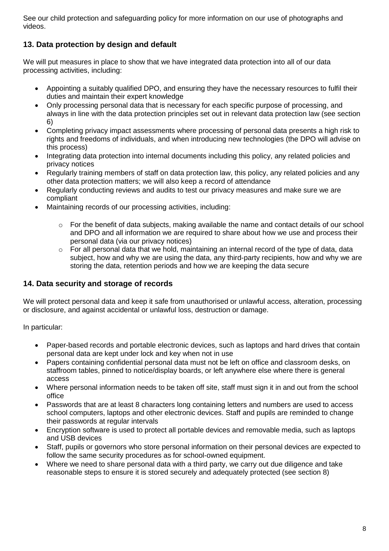See our child protection and safeguarding policy for more information on our use of photographs and videos.

# **13. Data protection by design and default**

We will put measures in place to show that we have integrated data protection into all of our data processing activities, including:

- Appointing a suitably qualified DPO, and ensuring they have the necessary resources to fulfil their duties and maintain their expert knowledge
- Only processing personal data that is necessary for each specific purpose of processing, and always in line with the data protection principles set out in relevant data protection law (see section 6)
- Completing privacy impact assessments where processing of personal data presents a high risk to rights and freedoms of individuals, and when introducing new technologies (the DPO will advise on this process)
- Integrating data protection into internal documents including this policy, any related policies and privacy notices
- Regularly training members of staff on data protection law, this policy, any related policies and any other data protection matters; we will also keep a record of attendance
- Regularly conducting reviews and audits to test our privacy measures and make sure we are compliant
- Maintaining records of our processing activities, including:
	- $\circ$  For the benefit of data subjects, making available the name and contact details of our school and DPO and all information we are required to share about how we use and process their personal data (via our privacy notices)
	- $\circ$  For all personal data that we hold, maintaining an internal record of the type of data, data subject, how and why we are using the data, any third-party recipients, how and why we are storing the data, retention periods and how we are keeping the data secure

# **14. Data security and storage of records**

We will protect personal data and keep it safe from unauthorised or unlawful access, alteration, processing or disclosure, and against accidental or unlawful loss, destruction or damage.

In particular:

- Paper-based records and portable electronic devices, such as laptops and hard drives that contain personal data are kept under lock and key when not in use
- Papers containing confidential personal data must not be left on office and classroom desks, on staffroom tables, pinned to notice/display boards, or left anywhere else where there is general access
- Where personal information needs to be taken off site, staff must sign it in and out from the school office
- Passwords that are at least 8 characters long containing letters and numbers are used to access school computers, laptops and other electronic devices. Staff and pupils are reminded to change their passwords at regular intervals
- Encryption software is used to protect all portable devices and removable media, such as laptops and USB devices
- Staff, pupils or governors who store personal information on their personal devices are expected to follow the same security procedures as for school-owned equipment.
- Where we need to share personal data with a third party, we carry out due diligence and take reasonable steps to ensure it is stored securely and adequately protected (see section 8)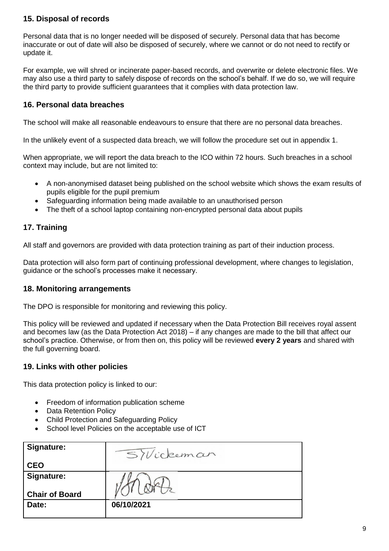# **15. Disposal of records**

Personal data that is no longer needed will be disposed of securely. Personal data that has become inaccurate or out of date will also be disposed of securely, where we cannot or do not need to rectify or update it.

For example, we will shred or incinerate paper-based records, and overwrite or delete electronic files. We may also use a third party to safely dispose of records on the school's behalf. If we do so, we will require the third party to provide sufficient guarantees that it complies with data protection law.

# **16. Personal data breaches**

The school will make all reasonable endeavours to ensure that there are no personal data breaches.

In the unlikely event of a suspected data breach, we will follow the procedure set out in appendix 1.

When appropriate, we will report the data breach to the ICO within 72 hours. Such breaches in a school context may include, but are not limited to:

- A non-anonymised dataset being published on the school website which shows the exam results of pupils eligible for the pupil premium
- Safeguarding information being made available to an unauthorised person
- The theft of a school laptop containing non-encrypted personal data about pupils

# **17. Training**

All staff and governors are provided with data protection training as part of their induction process.

Data protection will also form part of continuing professional development, where changes to legislation, guidance or the school's processes make it necessary.

### **18. Monitoring arrangements**

The DPO is responsible for monitoring and reviewing this policy.

This policy will be reviewed and updated if necessary when the Data Protection Bill receives royal assent and becomes law (as the Data Protection Act 2018) – if any changes are made to the bill that affect our school's practice. Otherwise, or from then on, this policy will be reviewed **every 2 years** and shared with the full governing board.

### **19. Links with other policies**

This data protection policy is linked to our:

- Freedom of information publication scheme
- Data Retention Policy
- Child Protection and Safeguarding Policy
- School level Policies on the acceptable use of ICT

| <b>Signature:</b>     | 5) Vickeman |
|-----------------------|-------------|
| <b>CEO</b>            |             |
| Signature:            |             |
| <b>Chair of Board</b> |             |
| Date:                 | 06/10/2021  |
|                       |             |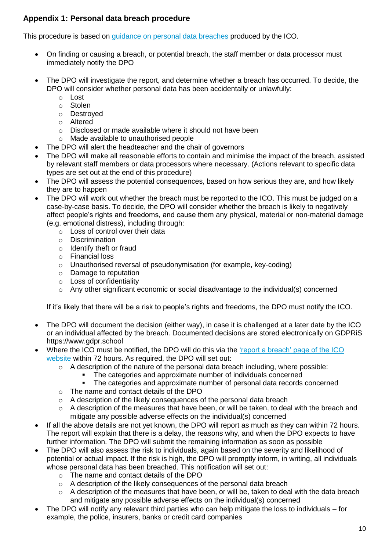# **Appendix 1: Personal data breach procedure**

This procedure is based on [guidance on personal data breaches](https://ico.org.uk/for-organisations/guide-to-the-general-data-protection-regulation-gdpr/personal-data-breaches/) produced by the ICO.

- On finding or causing a breach, or potential breach, the staff member or data processor must immediately notify the DPO
- The DPO will investigate the report, and determine whether a breach has occurred. To decide, the DPO will consider whether personal data has been accidentally or unlawfully:
	- o Lost
	- o Stolen
	- o Destroyed
	- o Altered
	- o Disclosed or made available where it should not have been
	- o Made available to unauthorised people
- The DPO will alert the headteacher and the chair of governors
- The DPO will make all reasonable efforts to contain and minimise the impact of the breach, assisted by relevant staff members or data processors where necessary. (Actions relevant to specific data types are set out at the end of this procedure)
- The DPO will assess the potential consequences, based on how serious they are, and how likely they are to happen
- The DPO will work out whether the breach must be reported to the ICO. This must be judged on a case-by-case basis. To decide, the DPO will consider whether the breach is likely to negatively affect people's rights and freedoms, and cause them any physical, material or non-material damage (e.g. emotional distress), including through:
	- o Loss of control over their data
	- o Discrimination
	- o Identify theft or fraud
	- o Financial loss
	- o Unauthorised reversal of pseudonymisation (for example, key-coding)
	- o Damage to reputation
	- o Loss of confidentiality
	- o Any other significant economic or social disadvantage to the individual(s) concerned

If it's likely that there will be a risk to people's rights and freedoms, the DPO must notify the ICO.

- The DPO will document the decision (either way), in case it is challenged at a later date by the ICO or an individual affected by the breach. Documented decisions are stored electronically on GDPRiS https://www.gdpr.school
- Where the ICO must be notified, the DPO will do this via the 'report a breach' page of the ICO [website](https://ico.org.uk/for-organisations/report-a-breach/) within 72 hours. As required, the DPO will set out:
	- $\circ$  A description of the nature of the personal data breach including, where possible:
		- The categories and approximate number of individuals concerned
		- The categories and approximate number of personal data records concerned
	- o The name and contact details of the DPO
	- o A description of the likely consequences of the personal data breach
	- $\circ$  A description of the measures that have been, or will be taken, to deal with the breach and mitigate any possible adverse effects on the individual(s) concerned
- If all the above details are not yet known, the DPO will report as much as they can within 72 hours. The report will explain that there is a delay, the reasons why, and when the DPO expects to have further information. The DPO will submit the remaining information as soon as possible
- The DPO will also assess the risk to individuals, again based on the severity and likelihood of potential or actual impact. If the risk is high, the DPO will promptly inform, in writing, all individuals whose personal data has been breached. This notification will set out:
	- o The name and contact details of the DPO
	- o A description of the likely consequences of the personal data breach
	- o A description of the measures that have been, or will be, taken to deal with the data breach and mitigate any possible adverse effects on the individual(s) concerned
- The DPO will notify any relevant third parties who can help mitigate the loss to individuals for example, the police, insurers, banks or credit card companies